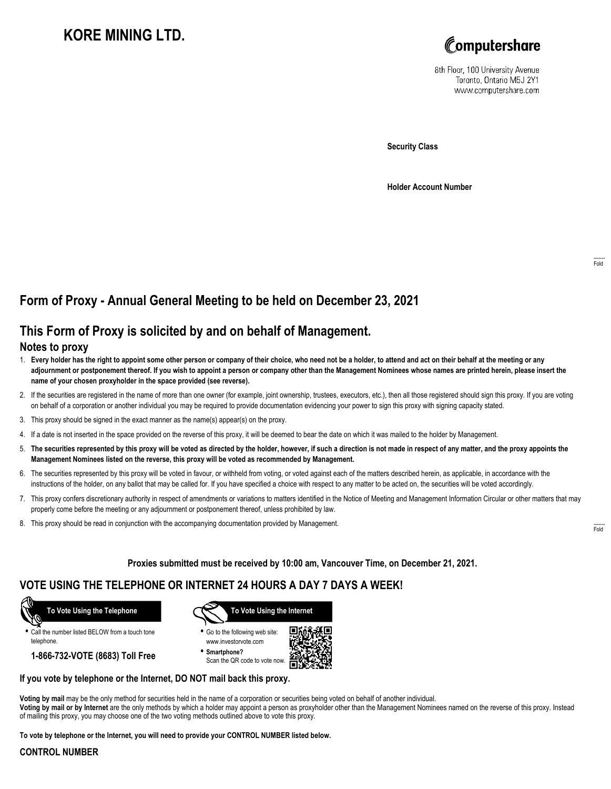# **KORE MINING LTD.**



8th Floor, 100 University Avenue Toronto, Ontario M5J 2Y1 www.computershare.com

**Security Class**

**Holder Account Number**

## **Form of Proxy - Annual General Meeting to be held on December 23, 2021**

## **This Form of Proxy is solicited by and on behalf of Management.**

#### **Notes to proxy**

- 1. **Every holder has the right to appoint some other person or company of their choice, who need not be a holder, to attend and act on their behalf at the meeting or any adjournment or postponement thereof. If you wish to appoint a person or company other than the Management Nominees whose names are printed herein, please insert the name of your chosen proxyholder in the space provided (see reverse).**
- 2. If the securities are registered in the name of more than one owner (for example, joint ownership, trustees, executors, etc.), then all those registered should sign this proxy. If you are voting on behalf of a corporation or another individual you may be required to provide documentation evidencing your power to sign this proxy with signing capacity stated.
- 3. This proxy should be signed in the exact manner as the name(s) appear(s) on the proxy.
- 4. If a date is not inserted in the space provided on the reverse of this proxy, it will be deemed to bear the date on which it was mailed to the holder by Management.
- 5. **The securities represented by this proxy will be voted as directed by the holder, however, if such a direction is not made in respect of any matter, and the proxy appoints the Management Nominees listed on the reverse, this proxy will be voted as recommended by Management.**
- 6. The securities represented by this proxy will be voted in favour, or withheld from voting, or voted against each of the matters described herein, as applicable, in accordance with the instructions of the holder, on any ballot that may be called for. If you have specified a choice with respect to any matter to be acted on, the securities will be voted accordingly.
- 7. This proxy confers discretionary authority in respect of amendments or variations to matters identified in the Notice of Meeting and Management Information Circular or other matters that may properly come before the meeting or any adjournment or postponement thereof, unless prohibited by law.
- 8. This proxy should be read in conjunction with the accompanying documentation provided by Management.

**Proxies submitted must be received by 10:00 am, Vancouver Time, on December 21, 2021.**

## **VOTE USING THE TELEPHONE OR INTERNET 24 HOURS A DAY 7 DAYS A WEEK!**



**•** Call the number listed BELOW from a touch tone telephone.

**1-866-732-VOTE (8683) Toll Free**



**•** Go to the following web site: www.investorvote.com

**• Smartphone?** Scan the QR code to vote now.



#### **If you vote by telephone or the Internet, DO NOT mail back this proxy.**

**Voting by mail** may be the only method for securities held in the name of a corporation or securities being voted on behalf of another individual. **Voting by mail or by Internet** are the only methods by which a holder may appoint a person as proxyholder other than the Management Nominees named on the reverse of this proxy. Instead of mailing this proxy, you may choose one of the two voting methods outlined above to vote this proxy.

**To vote by telephone or the Internet, you will need to provide your CONTROL NUMBER listed below.**

#### **CONTROL NUMBER**